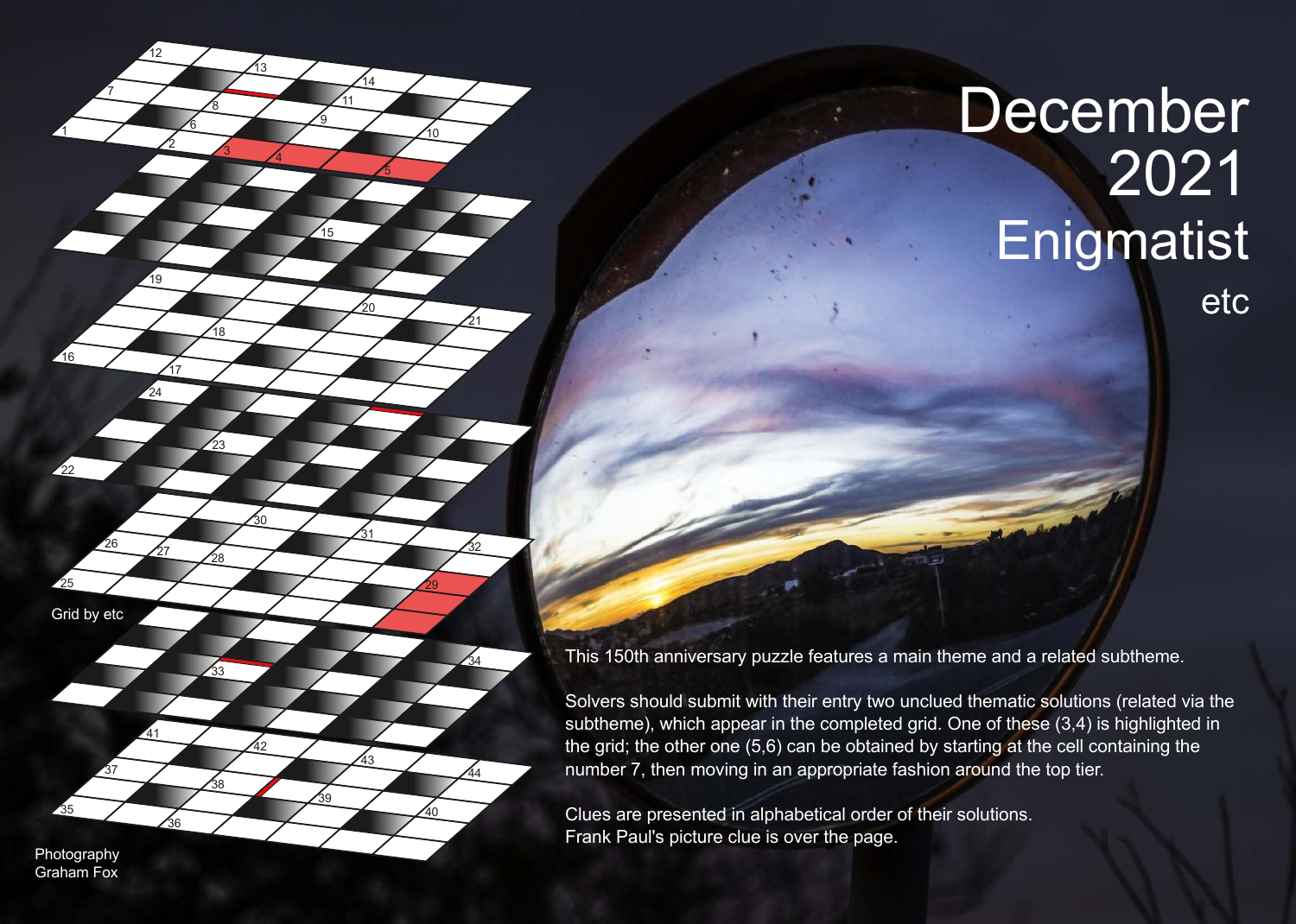## **December Enigmatist**

etc

This 150th anniversary puzzle features a main theme and a related subtheme.

Solvers should submit with their entry two unclued thematic solutions (related via the subtheme), which appear in the completed grid. One of these (3,4) is highlighted in the grid; the other one (5,6) can be obtained by starting at the cell containing the number 7, then moving in an appropriate fashion around the top tier.

Clues are presented in alphabetical order of their solutions. Frank Paul's picture clue is over the page.

Photography Graham Fox

Grid by etc

 $\overline{18}$ 

 $\frac{30}{2}$ 

<u>១</u>

<u>14</u>

 $\overline{39}$ 

 $\frac{34}{2}$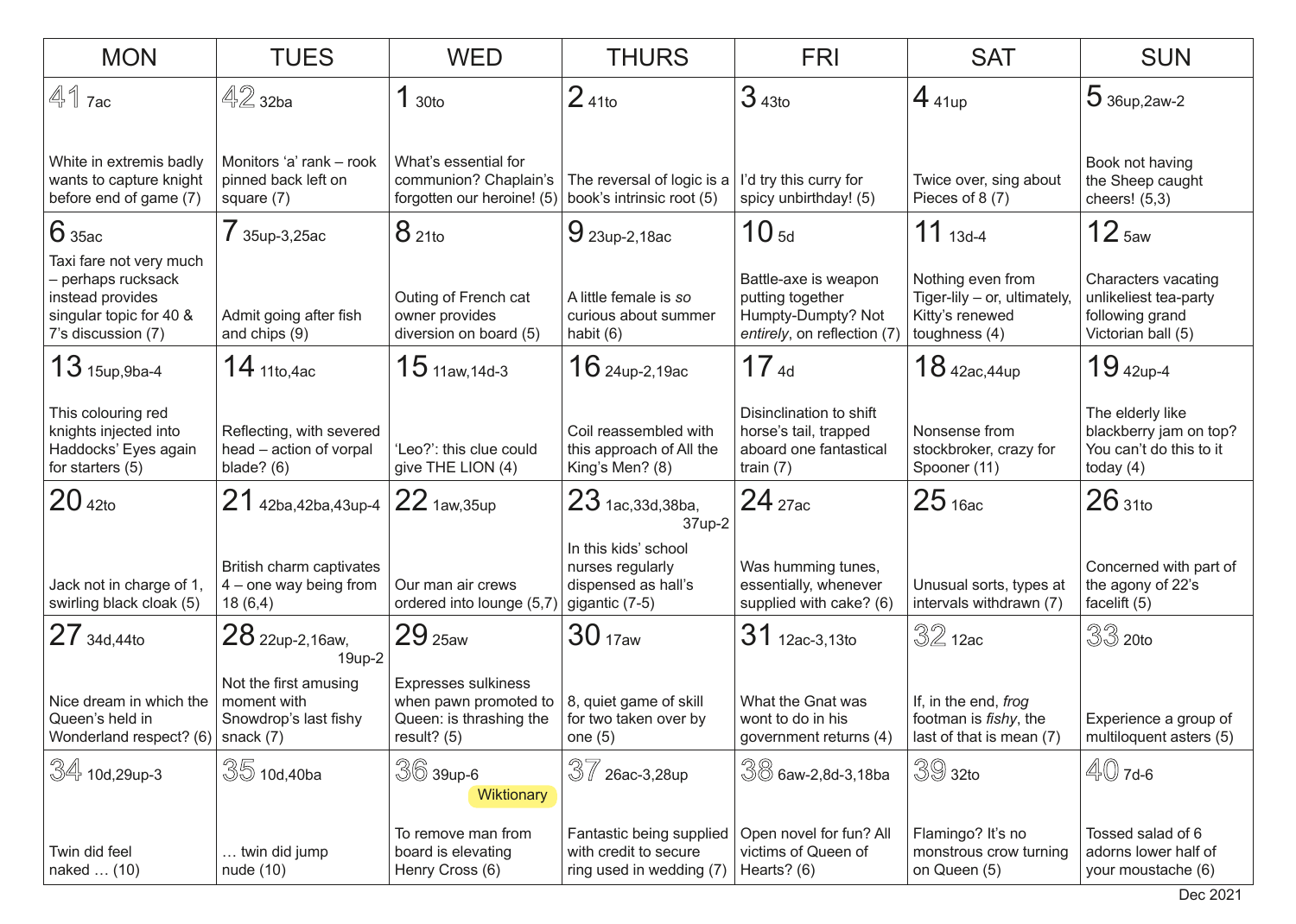| <b>MON</b>                                                                                                         | <b>TUES</b>                                                                | <b>WED</b>                                                                                                                     | <b>THURS</b>                                                                      | <b>FRI</b>                                                                                    | <b>SAT</b>                                                                            | <b>SUN</b>                                                                            |
|--------------------------------------------------------------------------------------------------------------------|----------------------------------------------------------------------------|--------------------------------------------------------------------------------------------------------------------------------|-----------------------------------------------------------------------------------|-----------------------------------------------------------------------------------------------|---------------------------------------------------------------------------------------|---------------------------------------------------------------------------------------|
| $41$ $7ac$                                                                                                         | $42$ 32ba                                                                  | 1 <sub>30to</sub>                                                                                                              | $241$ to                                                                          | 343 <sub>to</sub>                                                                             | $4_{41up}$                                                                            | $536up, 2aw-2$                                                                        |
| White in extremis badly<br>wants to capture knight<br>before end of game (7)                                       | Monitors 'a' rank - rook<br>pinned back left on<br>square (7)              | What's essential for<br>communion? Chaplain's<br>forgotten our heroine! (5)                                                    | The reversal of logic is a<br>book's intrinsic root (5)                           | I'd try this curry for<br>spicy unbirthday! (5)                                               | Twice over, sing about<br>Pieces of 8(7)                                              | Book not having<br>the Sheep caught<br>cheers! $(5,3)$                                |
| 6 35ac                                                                                                             | 7 35up-3,25ac                                                              | 821to                                                                                                                          | $9$ 23up-2,18ac                                                                   | 10 <sub>5d</sub>                                                                              | $11_{13d-4}$                                                                          | 12 <sub>5aw</sub>                                                                     |
| Taxi fare not very much<br>- perhaps rucksack<br>instead provides<br>singular topic for 40 &<br>7's discussion (7) | Admit going after fish<br>and chips (9)                                    | Outing of French cat<br>owner provides<br>diversion on board (5)                                                               | A little female is so<br>curious about summer<br>habit (6)                        | Battle-axe is weapon<br>putting together<br>Humpty-Dumpty? Not<br>entirely, on reflection (7) | Nothing even from<br>Tiger-lily - or, ultimately,<br>Kitty's renewed<br>toughness (4) | Characters vacating<br>unlikeliest tea-party<br>following grand<br>Victorian ball (5) |
| $13$ 15up, 9ba-4                                                                                                   | $14$ 11to,4ac                                                              | $15$ 11aw, 14d-3                                                                                                               | $16$ 24up-2,19ac                                                                  | 17 <sub>4d</sub>                                                                              | $18$ 42ac, 44up                                                                       | $1942up-4$                                                                            |
| This colouring red<br>knights injected into<br>Haddocks' Eyes again<br>for starters (5)                            | Reflecting, with severed<br>head - action of vorpal<br>blade? $(6)$        | 'Leo?': this clue could<br>give THE LION (4)                                                                                   | Coil reassembled with<br>this approach of All the<br>King's Men? (8)              | Disinclination to shift<br>horse's tail, trapped<br>aboard one fantastical<br>train $(7)$     | Nonsense from<br>stockbroker, crazy for<br>Spooner (11)                               | The elderly like<br>blackberry jam on top?<br>You can't do this to it<br>today $(4)$  |
| 20 <sub>42to</sub>                                                                                                 | $21$ 42ba,42ba,43up-4 22 1aw,35up                                          |                                                                                                                                | $23$ 1ac, 33d, 38ba,<br>37up-2                                                    | $24$ $_{27ac}$                                                                                | 25 <sub>16ac</sub>                                                                    | 26 <sub>31to</sub>                                                                    |
| Jack not in charge of 1,<br>swirling black cloak (5)                                                               | British charm captivates<br>$4$ – one way being from<br>18(6,4)            | Our man air crews<br>ordered into lounge (5,7                                                                                  | In this kids' school<br>nurses regularly<br>dispensed as hall's<br>gigantic (7-5) | Was humming tunes,<br>essentially, whenever<br>supplied with cake? (6)                        | Unusual sorts, types at<br>intervals withdrawn (7)                                    | Concerned with part of<br>the agony of 22's<br>facelift (5)                           |
| $27_{\,34d,44t0}$                                                                                                  | $28$ 22up-2,16aw,<br>19up-2                                                | 29 <sub>25aw</sub>                                                                                                             | 30 <sub>17aw</sub>                                                                | 31 12ac-3,13to                                                                                | $32$ 12ac                                                                             | $33$ 20to                                                                             |
| Nice dream in which the<br>Queen's held in<br>Wonderland respect? (6)                                              | Not the first amusing<br>moment with<br>Snowdrop's last fishy<br>snack (7) | <b>Expresses sulkiness</b><br>when pawn promoted to $\vert$ 8, quiet game of skill<br>Queen: is thrashing the<br>result? $(5)$ | for two taken over by<br>one $(5)$                                                | What the Gnat was<br>wont to do in his<br>government returns (4)                              | If, in the end, frog<br>footman is <i>fishy</i> , the<br>last of that is mean (7)     | Experience a group of<br>multiloquent asters (5)                                      |
| $\frac{34}{100,29}$ up-3                                                                                           | $35$ 10d,40ba                                                              | $36$ 39up-6<br><b>Wiktionary</b>                                                                                               | 37<br>26ac-3,28up                                                                 | $\sqrt[3]{8}$ 6aw-2,8d-3,18ba                                                                 | $39$ 32to                                                                             | $\mathbb{4}0$ 7d-6                                                                    |
| Twin did feel<br>naked  (10)                                                                                       | twin did jump<br>nude(10)                                                  | To remove man from<br>board is elevating<br>Henry Cross (6)                                                                    | Fantastic being supplied<br>with credit to secure<br>ring used in wedding (7)     | Open novel for fun? All<br>victims of Queen of<br>Hearts? (6)                                 | Flamingo? It's no<br>monstrous crow turning<br>on Queen (5)                           | Tossed salad of 6<br>adorns lower half of<br>your moustache (6)                       |